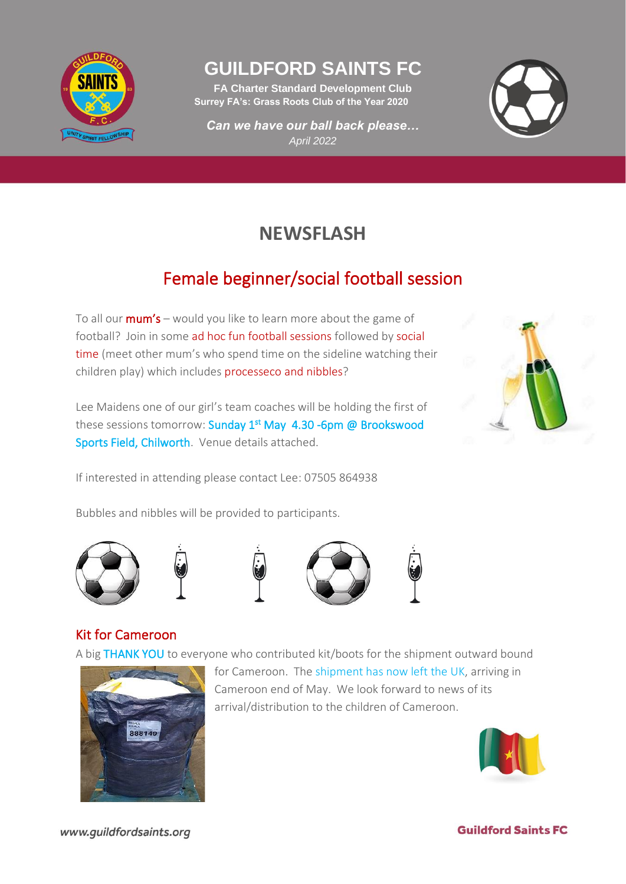

### **GUILDFORD SAINTS FC**

**FA Charter Standard Development Club Surrey FA's: Grass Roots Club of the Year 2020**

*Can we have our ball back please… April 2022*



# **NEWSFLASH**

# Female beginner/social football session

To all our  $mum's$  – would you like to learn more about the game of football? Join in some ad hoc fun football sessions followed by social time (meet other mum's who spend time on the sideline watching their children play) which includes processeco and nibbles?

Lee Maidens one of our girl's team coaches will be holding the first of these sessions tomorrow: Sunday 1<sup>st</sup> May 4.30 -6pm @ Brookswood Sports Field, Chilworth. Venue details attached.

If interested in attending please contact Lee: 07505 864938

Bubbles and nibbles will be provided to participants.











#### Kit for Cameroon

A big THANK YOU to everyone who contributed kit/boots for the shipment outward bound



for Cameroon. The shipment has now left the UK, arriving in Cameroon end of May. We look forward to news of its arrival/distribution to the children of Cameroon.